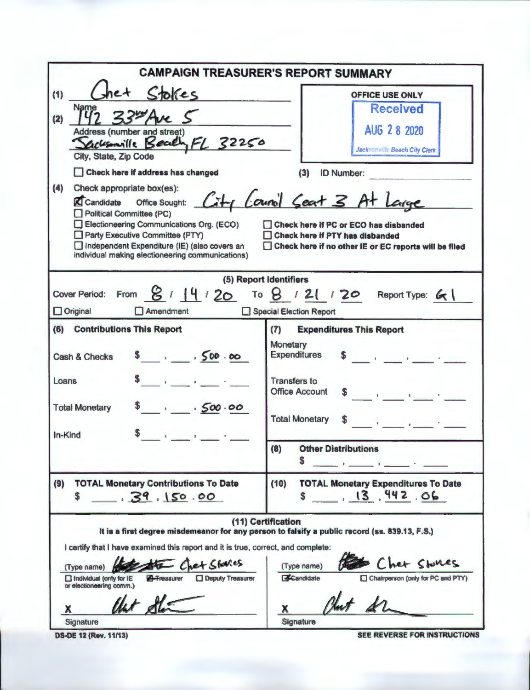| <b>CAMPAIGN TREASURER'S REPORT SUMMARY</b>                                                                                                                                                                                                                                                                                                                                                                                                                                                                                                                                                                                                          |                                                                                                                                                                                                                                                             |  |  |  |  |
|-----------------------------------------------------------------------------------------------------------------------------------------------------------------------------------------------------------------------------------------------------------------------------------------------------------------------------------------------------------------------------------------------------------------------------------------------------------------------------------------------------------------------------------------------------------------------------------------------------------------------------------------------------|-------------------------------------------------------------------------------------------------------------------------------------------------------------------------------------------------------------------------------------------------------------|--|--|--|--|
| let Stokes<br>(1)<br>Name<br>(2)<br>Address (number and street)<br>Sacksmille Beach, FL 32250<br>City, State, Zip Code<br>Check here if address has changed<br>(4)<br>Check appropriate box(es):<br>St Candidate Office Sought: City Council Seat 3 At Large<br><b>Political Committee (PC)</b><br>Electioneering Communications Org. (ECO)<br>Party Executive Committee (PTY)<br>Independent Expenditure (IE) (also covers an<br>individual making electioneering communications)                                                                                                                                                                  | <b>OFFICE USE ONLY</b><br><b>Received</b><br>AUG 2 8 2020<br>Jacksonville Beach City Clerk<br>(3)<br><b>ID Number:</b><br>Check here if PC or ECO has disbanded<br>Check here if PTY has disbanded<br>Check here if no other IE or EC reports will be filed |  |  |  |  |
| (5) Report Identifiers<br>Cover Period: From $8$ / 14 / 20 To $8$ / 21 / 20 Report Type: 61<br>$\Box$ Original<br>$\Box$ Amendment<br>Special Election Report                                                                                                                                                                                                                                                                                                                                                                                                                                                                                       |                                                                                                                                                                                                                                                             |  |  |  |  |
| (6) Contributions This Report<br>$s = 500.00$<br>Cash & Checks<br>$\mathbf{1} \cdot \mathbf{1} \cdot \mathbf{1} \cdot \mathbf{1} \cdot \mathbf{1} \cdot \mathbf{1} \cdot \mathbf{1} \cdot \mathbf{1} \cdot \mathbf{1} \cdot \mathbf{1} \cdot \mathbf{1} \cdot \mathbf{1} \cdot \mathbf{1} \cdot \mathbf{1} \cdot \mathbf{1} \cdot \mathbf{1} \cdot \mathbf{1} \cdot \mathbf{1} \cdot \mathbf{1} \cdot \mathbf{1} \cdot \mathbf{1} \cdot \mathbf{1} \cdot \mathbf{1} \cdot \mathbf{1} \cdot \mathbf{1} \cdot \mathbf{1} \cdot \mathbf{1} \cdot \mathbf{$<br>Loans<br>500.00<br><b>Total Monetary</b><br>and the state of the state of the<br>In-Kind | <b>Expenditures This Report</b><br>(7)<br>Monetary<br><b>Expenditures</b><br><b>Transfers to</b><br><b>Office Account</b><br><b>Total Monetary</b><br>(8)<br><b>Other Distributions</b><br>S                                                                |  |  |  |  |
| (9)<br><b>TOTAL Monetary Contributions To Date</b><br>39,150.00<br>\$                                                                                                                                                                                                                                                                                                                                                                                                                                                                                                                                                                               | (10)<br><b>TOTAL Monetary Expenditures To Date</b><br>13,942.06                                                                                                                                                                                             |  |  |  |  |
| I certify that I have examined this report and it is true, correct, and complete:<br>Fa Chet Stavies<br>(Type name)<br><b>A</b> -Freasurer<br><b>Deputy Treasurer</b><br>$\Box$ Individual (only for IE<br>or electioneering comm.)<br>llet de<br>x<br>Signature                                                                                                                                                                                                                                                                                                                                                                                    | (11) Certification<br>It is a first degree misdemeanor for any person to falsify a public record (ss. 839.13, F.S.)<br>Chet Stones<br>(Type name)<br>Candidate<br>□ Chairperson (only for PC and PTY)<br>x<br>Signature                                     |  |  |  |  |

**DS-DE 12 (Rev. 11/13)** SEE REVERSE FOR INSTRUCTIONS